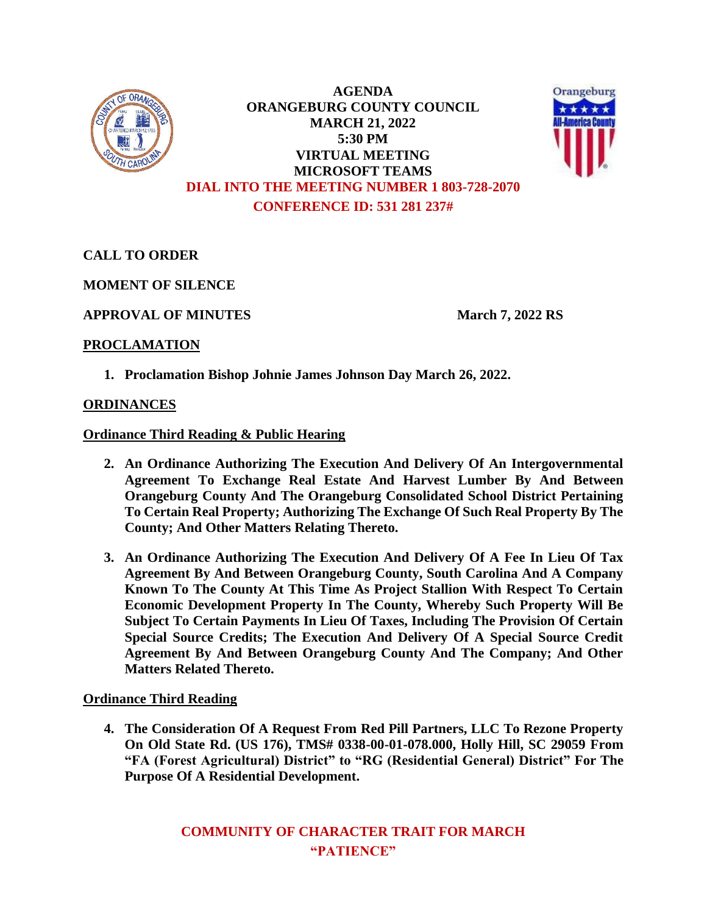

**AGENDA ORANGEBURG COUNTY COUNCIL MARCH 21, 2022 5:30 PM VIRTUAL MEETING MICROSOFT TEAMS DIAL INTO THE MEETING NUMBER 1 803-728-2070 CONFERENCE ID: 531 281 237#**



**CALL TO ORDER**

**MOMENT OF SILENCE**

**APPROVAL OF MINUTES March 7, 2022 RS**

## **PROCLAMATION**

**1. Proclamation Bishop Johnie James Johnson Day March 26, 2022.**

## **ORDINANCES**

**Ordinance Third Reading & Public Hearing** 

- **2. An Ordinance Authorizing The Execution And Delivery Of An Intergovernmental Agreement To Exchange Real Estate And Harvest Lumber By And Between Orangeburg County And The Orangeburg Consolidated School District Pertaining To Certain Real Property; Authorizing The Exchange Of Such Real Property By The County; And Other Matters Relating Thereto.**
- **3. An Ordinance Authorizing The Execution And Delivery Of A Fee In Lieu Of Tax Agreement By And Between Orangeburg County, South Carolina And A Company Known To The County At This Time As Project Stallion With Respect To Certain Economic Development Property In The County, Whereby Such Property Will Be Subject To Certain Payments In Lieu Of Taxes, Including The Provision Of Certain Special Source Credits; The Execution And Delivery Of A Special Source Credit Agreement By And Between Orangeburg County And The Company; And Other Matters Related Thereto.**

## **Ordinance Third Reading**

**4. The Consideration Of A Request From Red Pill Partners, LLC To Rezone Property On Old State Rd. (US 176), TMS# 0338-00-01-078.000, Holly Hill, SC 29059 From "FA (Forest Agricultural) District" to "RG (Residential General) District" For The Purpose Of A Residential Development.**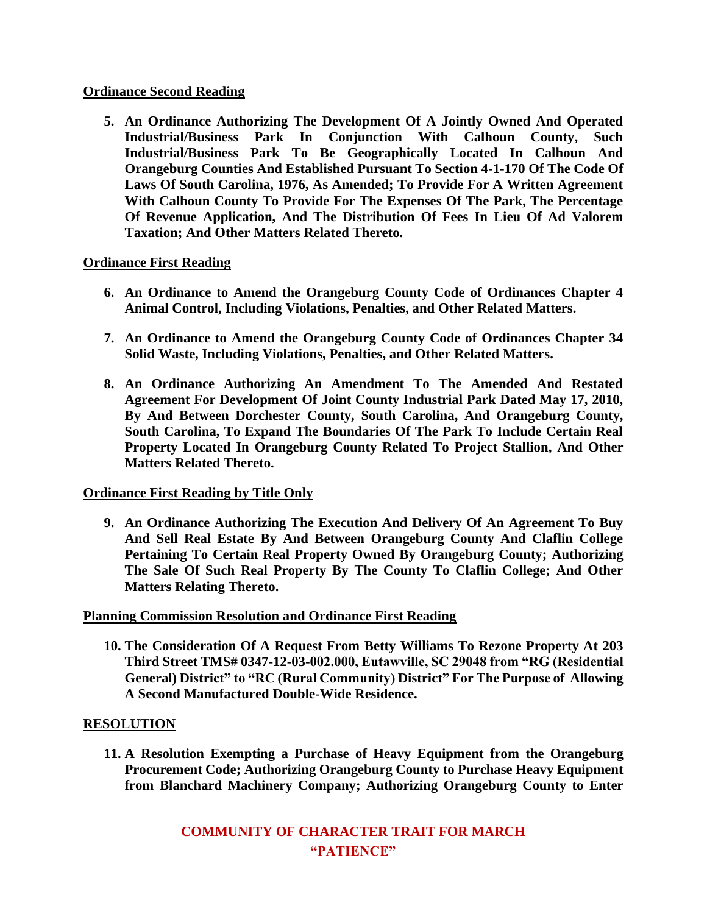## **Ordinance Second Reading**

**5. An Ordinance Authorizing The Development Of A Jointly Owned And Operated Industrial/Business Park In Conjunction With Calhoun County, Such Industrial/Business Park To Be Geographically Located In Calhoun And Orangeburg Counties And Established Pursuant To Section 4-1-170 Of The Code Of Laws Of South Carolina, 1976, As Amended; To Provide For A Written Agreement With Calhoun County To Provide For The Expenses Of The Park, The Percentage Of Revenue Application, And The Distribution Of Fees In Lieu Of Ad Valorem Taxation; And Other Matters Related Thereto.**

# **Ordinance First Reading**

- **6. An Ordinance to Amend the Orangeburg County Code of Ordinances Chapter 4 Animal Control, Including Violations, Penalties, and Other Related Matters.**
- **7. An Ordinance to Amend the Orangeburg County Code of Ordinances Chapter 34 Solid Waste, Including Violations, Penalties, and Other Related Matters.**
- **8. An Ordinance Authorizing An Amendment To The Amended And Restated Agreement For Development Of Joint County Industrial Park Dated May 17, 2010, By And Between Dorchester County, South Carolina, And Orangeburg County, South Carolina, To Expand The Boundaries Of The Park To Include Certain Real Property Located In Orangeburg County Related To Project Stallion, And Other Matters Related Thereto.**

# **Ordinance First Reading by Title Only**

**9. An Ordinance Authorizing The Execution And Delivery Of An Agreement To Buy And Sell Real Estate By And Between Orangeburg County And Claflin College Pertaining To Certain Real Property Owned By Orangeburg County; Authorizing The Sale Of Such Real Property By The County To Claflin College; And Other Matters Relating Thereto.**

## **Planning Commission Resolution and Ordinance First Reading**

**10. The Consideration Of A Request From Betty Williams To Rezone Property At 203 Third Street TMS# 0347-12-03-002.000, Eutawville, SC 29048 from "RG (Residential General) District" to "RC (Rural Community) District" For The Purpose of Allowing A Second Manufactured Double-Wide Residence.**

## **RESOLUTION**

**11. A Resolution Exempting a Purchase of Heavy Equipment from the Orangeburg Procurement Code; Authorizing Orangeburg County to Purchase Heavy Equipment from Blanchard Machinery Company; Authorizing Orangeburg County to Enter**